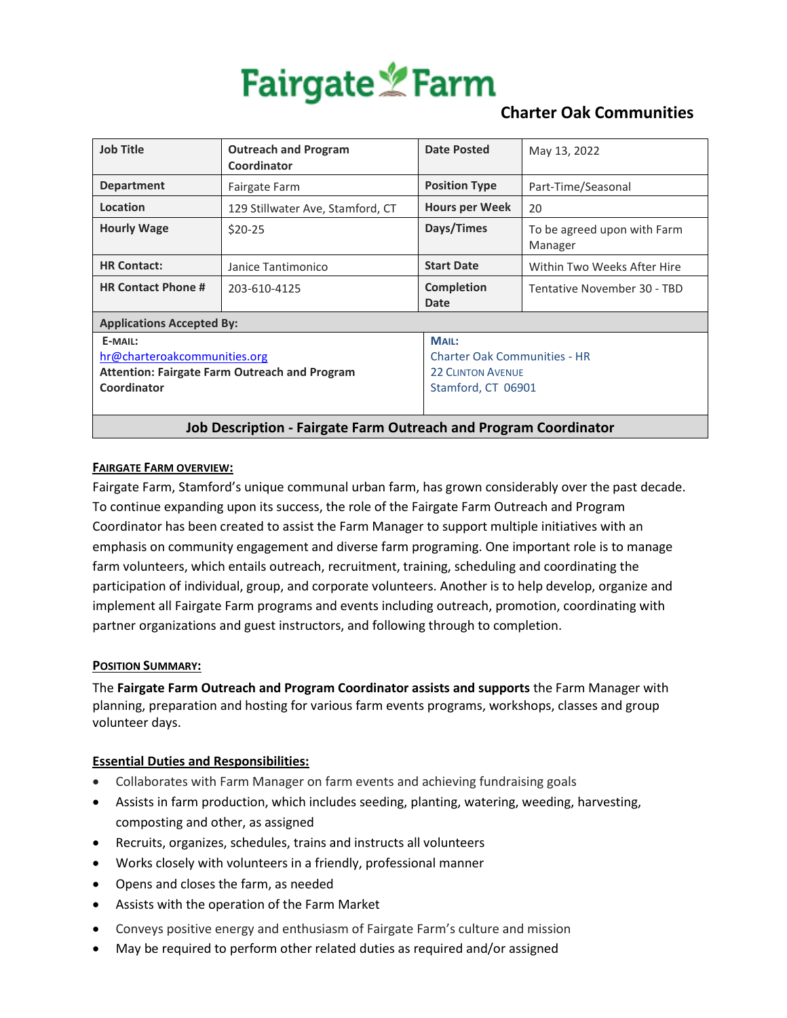

## **Charter Oak Communities**

| <b>Job Title</b>                                                                                               | <b>Outreach and Program</b><br>Coordinator | Date Posted                                                                                    | May 13, 2022                           |
|----------------------------------------------------------------------------------------------------------------|--------------------------------------------|------------------------------------------------------------------------------------------------|----------------------------------------|
| <b>Department</b>                                                                                              | Fairgate Farm                              | <b>Position Type</b>                                                                           | Part-Time/Seasonal                     |
| Location                                                                                                       | 129 Stillwater Ave, Stamford, CT           | <b>Hours per Week</b>                                                                          | 20                                     |
| <b>Hourly Wage</b>                                                                                             | $$20-25$                                   | Days/Times                                                                                     | To be agreed upon with Farm<br>Manager |
| <b>HR Contact:</b>                                                                                             | Janice Tantimonico                         | <b>Start Date</b>                                                                              | Within Two Weeks After Hire            |
| <b>HR Contact Phone #</b>                                                                                      | 203-610-4125                               | <b>Completion</b><br>Date                                                                      | Tentative November 30 - TBD            |
| <b>Applications Accepted By:</b>                                                                               |                                            |                                                                                                |                                        |
| E-MAIL:<br>hr@charteroakcommunities.org<br><b>Attention: Fairgate Farm Outreach and Program</b><br>Coordinator |                                            | MAIL:<br><b>Charter Oak Communities - HR</b><br><b>22 CLINTON AVENUE</b><br>Stamford, CT 06901 |                                        |
| <b>Job Description - Fairgate Farm Outreach and Program Coordinator</b>                                        |                                            |                                                                                                |                                        |

### **FAIRGATE FARM OVERVIEW:**

[Fairgate Farm,](http://www.fairgatefarn.com/) Stamford's unique communal urban farm, has grown considerably over the past decade. To continue expanding upon its success, the role of the Fairgate Farm Outreach and Program Coordinator has been created to assist the Farm Manager to support multiple initiatives with an emphasis on community engagement and diverse farm programing. One important role is to manage farm volunteers, which entails outreach, recruitment, training, scheduling and coordinating the participation of individual, group, and corporate volunteers. Another is to help develop, organize and implement all Fairgate Farm programs and events including outreach, promotion, coordinating with partner organizations and guest instructors, and following through to completion.

#### **POSITION SUMMARY:**

The **Fairgate Farm Outreach and Program Coordinator assists and supports** the Farm Manager with planning, preparation and hosting for various farm events programs, workshops, classes and group volunteer days.

### **Essential Duties and Responsibilities:**

- Collaborates with Farm Manager on farm events and achieving fundraising goals
- Assists in farm production, which includes seeding, planting, watering, weeding, harvesting, composting and other, as assigned
- Recruits, organizes, schedules, trains and instructs all volunteers
- Works closely with volunteers in a friendly, professional manner
- Opens and closes the farm, as needed
- Assists with the operation of the Farm Market
- Conveys positive energy and enthusiasm of Fairgate Farm's culture and mission
- May be required to perform other related duties as required and/or assigned